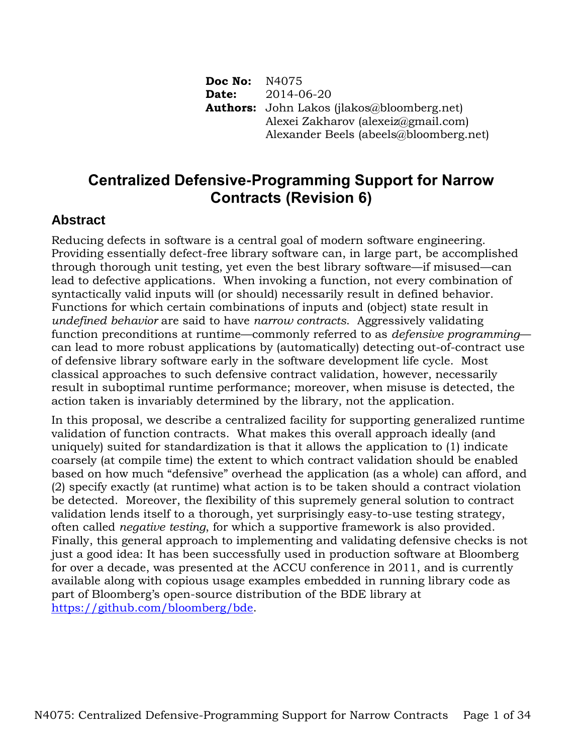**Doc No:** N4075 **Date:** 2014-06-20 **Authors:** John Lakos (jlakos@bloomberg.net) Alexei Zakharov (alexeiz@gmail.com) Alexander Beels (abeels@bloomberg.net)

# **Centralized Defensive-Programming Support for Narrow Contracts (Revision 6)**

## **Abstract**

Reducing defects in software is a central goal of modern software engineering. Providing essentially defect-free library software can, in large part, be accomplished through thorough unit testing, yet even the best library software—if misused—can lead to defective applications. When invoking a function, not every combination of syntactically valid inputs will (or should) necessarily result in defined behavior. Functions for which certain combinations of inputs and (object) state result in *undefined behavior* are said to have *narrow contracts*. Aggressively validating function preconditions at runtime—commonly referred to as *defensive programming* can lead to more robust applications by (automatically) detecting out-of-contract use of defensive library software early in the software development life cycle. Most classical approaches to such defensive contract validation, however, necessarily result in suboptimal runtime performance; moreover, when misuse is detected, the action taken is invariably determined by the library, not the application.

In this proposal, we describe a centralized facility for supporting generalized runtime validation of function contracts. What makes this overall approach ideally (and uniquely) suited for standardization is that it allows the application to (1) indicate coarsely (at compile time) the extent to which contract validation should be enabled based on how much "defensive" overhead the application (as a whole) can afford, and (2) specify exactly (at runtime) what action is to be taken should a contract violation be detected. Moreover, the flexibility of this supremely general solution to contract validation lends itself to a thorough, yet surprisingly easy-to-use testing strategy, often called *negative testing*, for which a supportive framework is also provided. Finally, this general approach to implementing and validating defensive checks is not just a good idea: It has been successfully used in production software at Bloomberg for over a decade, was presented at the ACCU conference in 2011, and is currently available along with copious usage examples embedded in running library code as part of Bloomberg's open-source distribution of the BDE library at [https://github.com/bloomberg/bde.](https://github.com/bloomberg/bde)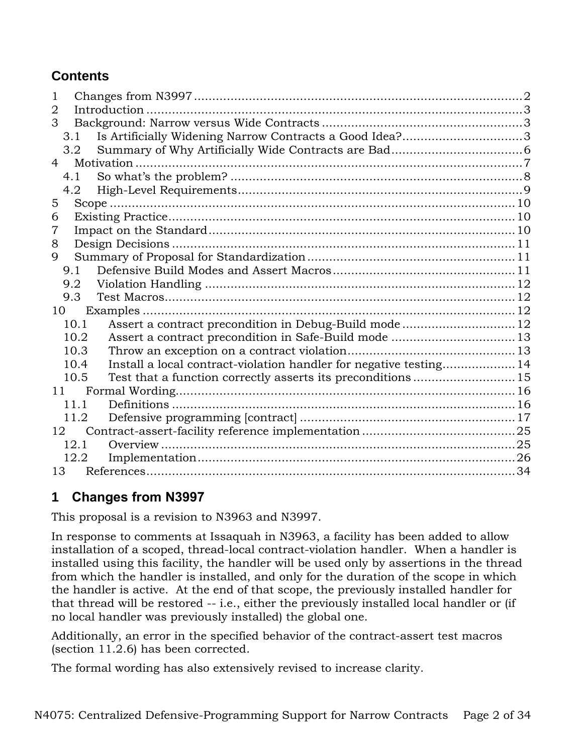# **Contents**

| 1   |                                                                            |  |
|-----|----------------------------------------------------------------------------|--|
| 2   |                                                                            |  |
| 3   |                                                                            |  |
|     | Is Artificially Widening Narrow Contracts a Good Idea?3<br>3.1             |  |
|     | 3.2                                                                        |  |
| 4   |                                                                            |  |
| 4.1 |                                                                            |  |
|     | 4.2                                                                        |  |
| 5   |                                                                            |  |
| 6   |                                                                            |  |
| 7   |                                                                            |  |
| 8   |                                                                            |  |
| 9   |                                                                            |  |
| 9.1 |                                                                            |  |
| 9.2 |                                                                            |  |
| 9.3 |                                                                            |  |
| 10  |                                                                            |  |
|     | 10.1                                                                       |  |
|     | 10.2                                                                       |  |
|     | 10.3                                                                       |  |
|     | Install a local contract-violation handler for negative testing 14<br>10.4 |  |
|     | 10.5                                                                       |  |
| 11  |                                                                            |  |
|     | 11.1                                                                       |  |
|     | 11.2                                                                       |  |
| 12  |                                                                            |  |
|     | 12.1                                                                       |  |
|     | 12.2                                                                       |  |
|     |                                                                            |  |

# **1 Changes from N3997**

This proposal is a revision to N3963 and N3997.

In response to comments at Issaquah in N3963, a facility has been added to allow installation of a scoped, thread-local contract-violation handler. When a handler is installed using this facility, the handler will be used only by assertions in the thread from which the handler is installed, and only for the duration of the scope in which the handler is active. At the end of that scope, the previously installed handler for that thread will be restored -- i.e., either the previously installed local handler or (if no local handler was previously installed) the global one.

Additionally, an error in the specified behavior of the contract-assert test macros (section [11.2.6\)](#page-20-0) has been corrected.

The formal wording has also extensively revised to increase clarity.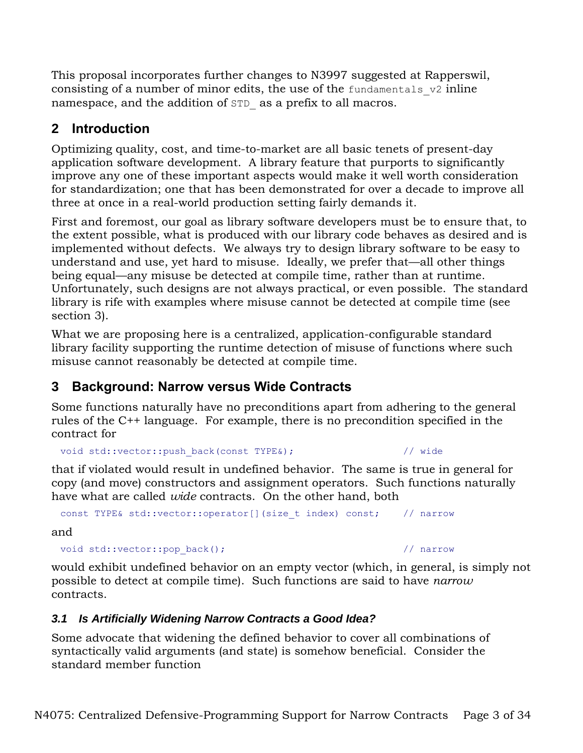This proposal incorporates further changes to N3997 suggested at Rapperswil, consisting of a number of minor edits, the use of the fundamentals  $v2$  inline namespace, and the addition of STD as a prefix to all macros.

# **2 Introduction**

Optimizing quality, cost, and time-to-market are all basic tenets of present-day application software development. A library feature that purports to significantly improve any one of these important aspects would make it well worth consideration for standardization; one that has been demonstrated for over a decade to improve all three at once in a real-world production setting fairly demands it.

First and foremost, our goal as library software developers must be to ensure that, to the extent possible, what is produced with our library code behaves as desired and is implemented without defects. We always try to design library software to be easy to understand and use, yet hard to misuse. Ideally, we prefer that—all other things being equal—any misuse be detected at compile time, rather than at runtime. Unfortunately, such designs are not always practical, or even possible. The standard library is rife with examples where misuse cannot be detected at compile time (see section [3\)](#page-2-0).

What we are proposing here is a centralized, application-configurable standard library facility supporting the runtime detection of misuse of functions where such misuse cannot reasonably be detected at compile time.

# <span id="page-2-0"></span>**3 Background: Narrow versus Wide Contracts**

Some functions naturally have no preconditions apart from adhering to the general rules of the C++ language. For example, there is no precondition specified in the contract for

```
void std::vector::push_back(const TYPE&); // wide
```
that if violated would result in undefined behavior. The same is true in general for copy (and move) constructors and assignment operators. Such functions naturally have what are called *wide* contracts. On the other hand, both

```
const TYPE& std::vector::operator[](size t index) const; // narrow
```
and

```
void std::vector::pop back(); // narrow
```
would exhibit undefined behavior on an empty vector (which, in general, is simply not possible to detect at compile time). Such functions are said to have *narrow* contracts.

## *3.1 Is Artificially Widening Narrow Contracts a Good Idea?*

Some advocate that widening the defined behavior to cover all combinations of syntactically valid arguments (and state) is somehow beneficial. Consider the standard member function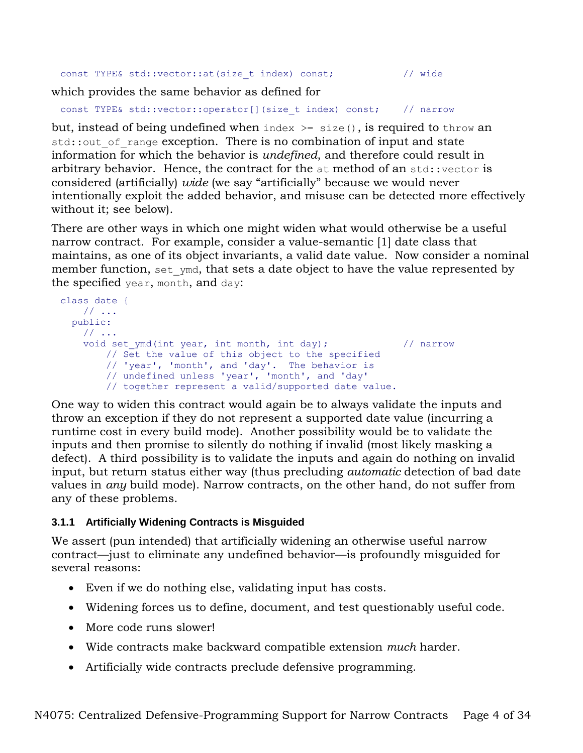```
const TYPE& std::vector::at(size t index) const; // wide
```
which provides the same behavior as defined for

```
const TYPE& std::vector::operator[](size t index) const; // narrow
```
but, instead of being undefined when index  $\ge$  size(), is required to throw an std::out of range exception. There is no combination of input and state information for which the behavior is *undefined*, and therefore could result in arbitrary behavior. Hence, the contract for the  $at$  method of an std::vector is considered (artificially) *wide* (we say "artificially" because we would never intentionally exploit the added behavior, and misuse can be detected more effectively without it; see below).

There are other ways in which one might widen what would otherwise be a useful narrow contract. For example, consider a value-semantic [1] date class that maintains, as one of its object invariants, a valid date value. Now consider a nominal member function, set ymd, that sets a date object to have the value represented by the specified year, month, and day:

```
class date { 
    // ...
  public:
    // ...
    void set ymd(int year, int month, int day); // narrow
         // Set the value of this object to the specified 
         // 'year', 'month', and 'day'. The behavior is 
         // undefined unless 'year', 'month', and 'day' 
         // together represent a valid/supported date value.
```
One way to widen this contract would again be to always validate the inputs and throw an exception if they do not represent a supported date value (incurring a runtime cost in every build mode). Another possibility would be to validate the inputs and then promise to silently do nothing if invalid (most likely masking a defect). A third possibility is to validate the inputs and again do nothing on invalid input, but return status either way (thus precluding *automatic* detection of bad date values in *any* build mode). Narrow contracts, on the other hand, do not suffer from any of these problems.

## **3.1.1 Artificially Widening Contracts is Misguided**

We assert (pun intended) that artificially widening an otherwise useful narrow contract—just to eliminate any undefined behavior—is profoundly misguided for several reasons:

- Even if we do nothing else, validating input has costs.
- Widening forces us to define, document, and test questionably useful code.
- More code runs slower!
- Wide contracts make backward compatible extension *much* harder.
- Artificially wide contracts preclude defensive programming.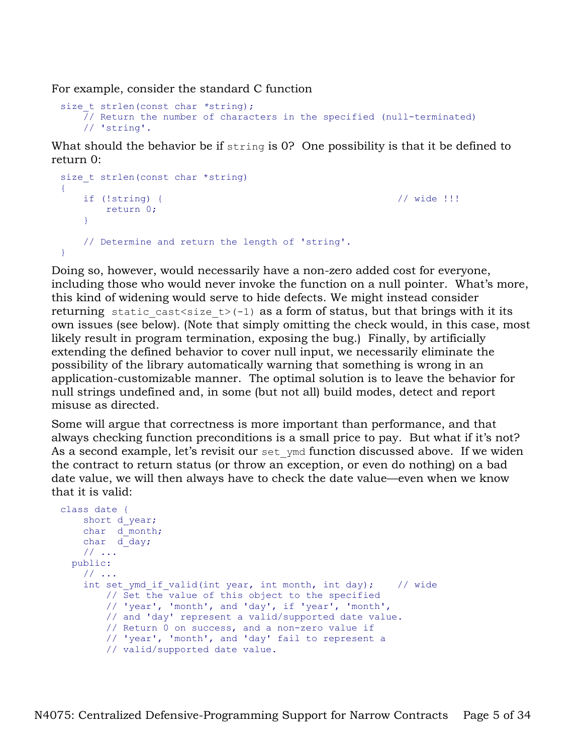For example, consider the standard C function

```
size t strlen(const char *string);
    \frac{1}{2}/ Return the number of characters in the specified (null-terminated)
     // 'string'.
```
What should the behavior be if string is 0? One possibility is that it be defined to return 0:

```
size t strlen(const char *string)
{
    if (!string) { // wide !!!
      return 0;
    }
    // Determine and return the length of 'string'.
}
```
Doing so, however, would necessarily have a non-zero added cost for everyone, including those who would never invoke the function on a null pointer. What's more, this kind of widening would serve to hide defects. We might instead consider returning static cast<size  $t > (-1)$  as a form of status, but that brings with it its own issues (see below). (Note that simply omitting the check would, in this case, most likely result in program termination, exposing the bug.) Finally, by artificially extending the defined behavior to cover null input, we necessarily eliminate the possibility of the library automatically warning that something is wrong in an application-customizable manner. The optimal solution is to leave the behavior for null strings undefined and, in some (but not all) build modes, detect and report misuse as directed.

Some will argue that correctness is more important than performance, and that always checking function preconditions is a small price to pay. But what if it's not? As a second example, let's revisit our set ymd function discussed above. If we widen the contract to return status (or throw an exception, or even do nothing) on a bad date value, we will then always have to check the date value—even when we know that it is valid:

```
class date { 
   short d year;
   char d_month;
   char d day;
    // ...
  public:
     // ...
    int set ymd if valid(int year, int month, int day); // wide
         // Set the value of this object to the specified 
         // 'year', 'month', and 'day', if 'year', 'month', 
         // and 'day' represent a valid/supported date value. 
         // Return 0 on success, and a non-zero value if 
         // 'year', 'month', and 'day' fail to represent a 
         // valid/supported date value.
```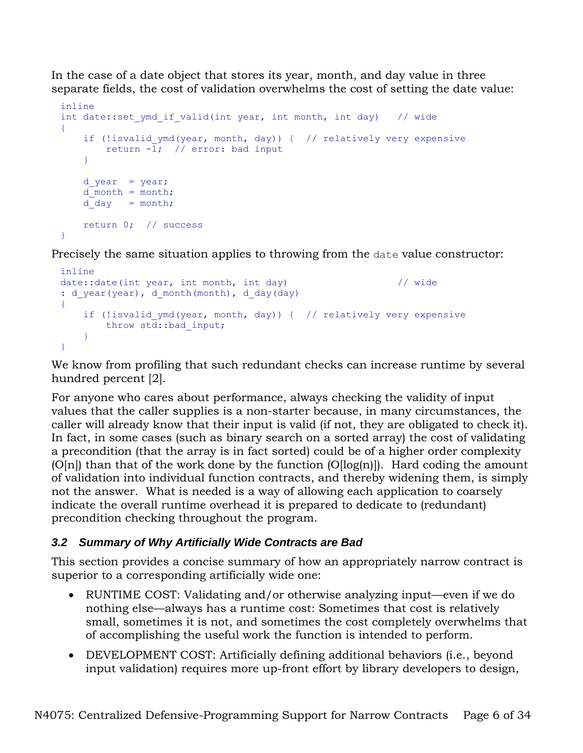In the case of a date object that stores its year, month, and day value in three separate fields, the cost of validation overwhelms the cost of setting the date value:

```
inline
int date::set ymd if valid(int year, int month, int day) // wide
{
    if (!isvalid ymd(year, month, day)) { // relatively very expensive
       return -\overline{1}; // error: bad input
     }
    d year = year;d month = month;
    d day = month; return 0; // success
}
```
Precisely the same situation applies to throwing from the date value constructor:

```
inline
date::date(int year, int month, int day) // wide
: d year(year), d month(month), d day(day)
{
    if (!isvalid_ymd(year, month, day)) { // relatively very expensive
      throw std::bad input;
    }
}
```
We know from profiling that such redundant checks can increase runtime by several hundred percent [2].

For anyone who cares about performance, always checking the validity of input values that the caller supplies is a non-starter because, in many circumstances, the caller will already know that their input is valid (if not, they are obligated to check it). In fact, in some cases (such as binary search on a sorted array) the cost of validating a precondition (that the array is in fact sorted) could be of a higher order complexity  $[O[n])$  than that of the work done by the function  $[O[log(n)])$ . Hard coding the amount of validation into individual function contracts, and thereby widening them, is simply not the answer. What is needed is a way of allowing each application to coarsely indicate the overall runtime overhead it is prepared to dedicate to (redundant) precondition checking throughout the program.

## *3.2 Summary of Why Artificially Wide Contracts are Bad*

This section provides a concise summary of how an appropriately narrow contract is superior to a corresponding artificially wide one:

- RUNTIME COST: Validating and/or otherwise analyzing input—even if we do nothing else—always has a runtime cost: Sometimes that cost is relatively small, sometimes it is not, and sometimes the cost completely overwhelms that of accomplishing the useful work the function is intended to perform.
- DEVELOPMENT COST: Artificially defining additional behaviors (i.e., beyond input validation) requires more up-front effort by library developers to design,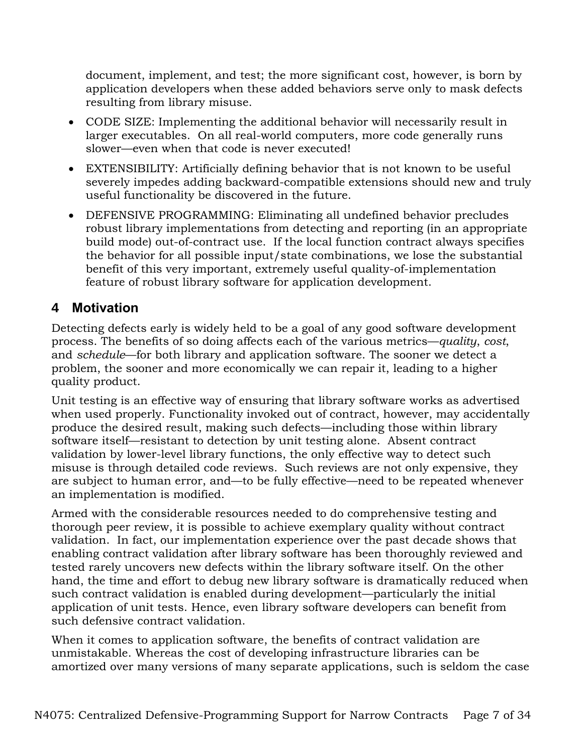document, implement, and test; the more significant cost, however, is born by application developers when these added behaviors serve only to mask defects resulting from library misuse.

- CODE SIZE: Implementing the additional behavior will necessarily result in larger executables. On all real-world computers, more code generally runs slower—even when that code is never executed!
- EXTENSIBILITY: Artificially defining behavior that is not known to be useful severely impedes adding backward-compatible extensions should new and truly useful functionality be discovered in the future.
- DEFENSIVE PROGRAMMING: Eliminating all undefined behavior precludes robust library implementations from detecting and reporting (in an appropriate build mode) out-of-contract use. If the local function contract always specifies the behavior for all possible input/state combinations, we lose the substantial benefit of this very important, extremely useful quality-of-implementation feature of robust library software for application development.

## **4 Motivation**

Detecting defects early is widely held to be a goal of any good software development process. The benefits of so doing affects each of the various metrics—*quality*, *cost*, and *schedule*—for both library and application software. The sooner we detect a problem, the sooner and more economically we can repair it, leading to a higher quality product.

Unit testing is an effective way of ensuring that library software works as advertised when used properly. Functionality invoked out of contract, however, may accidentally produce the desired result, making such defects—including those within library software itself—resistant to detection by unit testing alone. Absent contract validation by lower-level library functions, the only effective way to detect such misuse is through detailed code reviews. Such reviews are not only expensive, they are subject to human error, and—to be fully effective—need to be repeated whenever an implementation is modified.

Armed with the considerable resources needed to do comprehensive testing and thorough peer review, it is possible to achieve exemplary quality without contract validation. In fact, our implementation experience over the past decade shows that enabling contract validation after library software has been thoroughly reviewed and tested rarely uncovers new defects within the library software itself. On the other hand, the time and effort to debug new library software is dramatically reduced when such contract validation is enabled during development—particularly the initial application of unit tests. Hence, even library software developers can benefit from such defensive contract validation.

When it comes to application software, the benefits of contract validation are unmistakable. Whereas the cost of developing infrastructure libraries can be amortized over many versions of many separate applications, such is seldom the case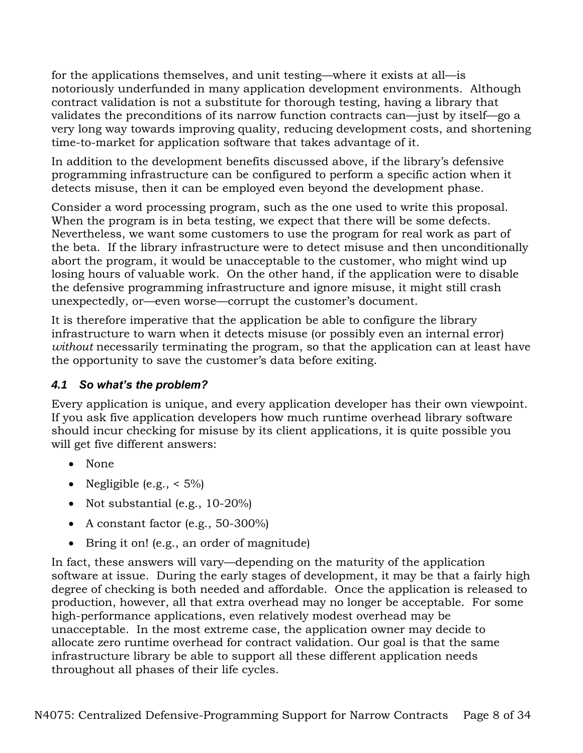for the applications themselves, and unit testing—where it exists at all—is notoriously underfunded in many application development environments. Although contract validation is not a substitute for thorough testing, having a library that validates the preconditions of its narrow function contracts can—just by itself—go a very long way towards improving quality, reducing development costs, and shortening time-to-market for application software that takes advantage of it.

In addition to the development benefits discussed above, if the library's defensive programming infrastructure can be configured to perform a specific action when it detects misuse, then it can be employed even beyond the development phase.

Consider a word processing program, such as the one used to write this proposal. When the program is in beta testing, we expect that there will be some defects. Nevertheless, we want some customers to use the program for real work as part of the beta. If the library infrastructure were to detect misuse and then unconditionally abort the program, it would be unacceptable to the customer, who might wind up losing hours of valuable work. On the other hand, if the application were to disable the defensive programming infrastructure and ignore misuse, it might still crash unexpectedly, or—even worse—corrupt the customer's document.

It is therefore imperative that the application be able to configure the library infrastructure to warn when it detects misuse (or possibly even an internal error) *without* necessarily terminating the program, so that the application can at least have the opportunity to save the customer's data before exiting.

## *4.1 So what's the problem?*

Every application is unique, and every application developer has their own viewpoint. If you ask five application developers how much runtime overhead library software should incur checking for misuse by its client applications, it is quite possible you will get five different answers:

- None
- Negligible (e.g.,  $\lt 5\%$ )
- Not substantial (e.g.,  $10-20\%$ )
- A constant factor (e.g., 50-300%)
- Bring it on! (e.g., an order of magnitude)

In fact, these answers will vary—depending on the maturity of the application software at issue. During the early stages of development, it may be that a fairly high degree of checking is both needed and affordable. Once the application is released to production, however, all that extra overhead may no longer be acceptable. For some high-performance applications, even relatively modest overhead may be unacceptable. In the most extreme case, the application owner may decide to allocate zero runtime overhead for contract validation. Our goal is that the same infrastructure library be able to support all these different application needs throughout all phases of their life cycles.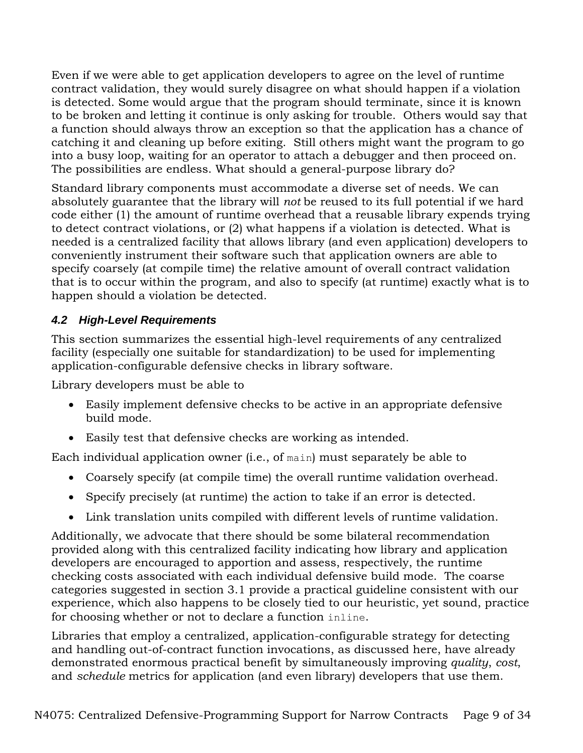Even if we were able to get application developers to agree on the level of runtime contract validation, they would surely disagree on what should happen if a violation is detected. Some would argue that the program should terminate, since it is known to be broken and letting it continue is only asking for trouble. Others would say that a function should always throw an exception so that the application has a chance of catching it and cleaning up before exiting. Still others might want the program to go into a busy loop, waiting for an operator to attach a debugger and then proceed on. The possibilities are endless. What should a general-purpose library do?

Standard library components must accommodate a diverse set of needs. We can absolutely guarantee that the library will *not* be reused to its full potential if we hard code either (1) the amount of runtime overhead that a reusable library expends trying to detect contract violations, or (2) what happens if a violation is detected. What is needed is a centralized facility that allows library (and even application) developers to conveniently instrument their software such that application owners are able to specify coarsely (at compile time) the relative amount of overall contract validation that is to occur within the program, and also to specify (at runtime) exactly what is to happen should a violation be detected.

## *4.2 High-Level Requirements*

This section summarizes the essential high-level requirements of any centralized facility (especially one suitable for standardization) to be used for implementing application-configurable defensive checks in library software.

Library developers must be able to

- Easily implement defensive checks to be active in an appropriate defensive build mode.
- Easily test that defensive checks are working as intended.

Each individual application owner (i.e., of main) must separately be able to

- Coarsely specify (at compile time) the overall runtime validation overhead.
- Specify precisely (at runtime) the action to take if an error is detected.
- Link translation units compiled with different levels of runtime validation.

Additionally, we advocate that there should be some bilateral recommendation provided along with this centralized facility indicating how library and application developers are encouraged to apportion and assess, respectively, the runtime checking costs associated with each individual defensive build mode. The coarse categories suggested in section 3.1 provide a practical guideline consistent with our experience, which also happens to be closely tied to our heuristic, yet sound, practice for choosing whether or not to declare a function inline.

Libraries that employ a centralized, application-configurable strategy for detecting and handling out-of-contract function invocations, as discussed here, have already demonstrated enormous practical benefit by simultaneously improving *quality*, *cost*, and *schedule* metrics for application (and even library) developers that use them.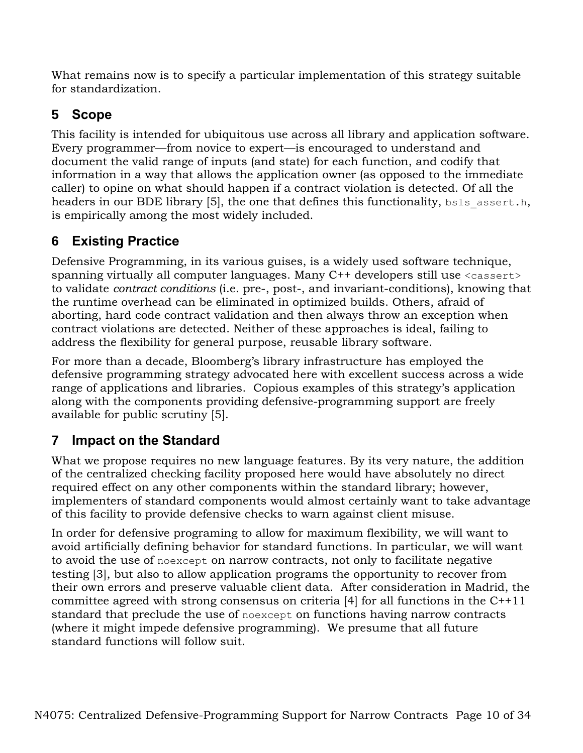What remains now is to specify a particular implementation of this strategy suitable for standardization.

# **5 Scope**

This facility is intended for ubiquitous use across all library and application software. Every programmer—from novice to expert—is encouraged to understand and document the valid range of inputs (and state) for each function, and codify that information in a way that allows the application owner (as opposed to the immediate caller) to opine on what should happen if a contract violation is detected. Of all the headers in our BDE library [5], the one that defines this functionality, bsls assert.h, is empirically among the most widely included.

# **6 Existing Practice**

Defensive Programming, in its various guises, is a widely used software technique, spanning virtually all computer languages. Many C++ developers still use <cassert> to validate *contract conditions* (i.e. pre-, post-, and invariant-conditions), knowing that the runtime overhead can be eliminated in optimized builds. Others, afraid of aborting, hard code contract validation and then always throw an exception when contract violations are detected. Neither of these approaches is ideal, failing to address the flexibility for general purpose, reusable library software.

For more than a decade, Bloomberg's library infrastructure has employed the defensive programming strategy advocated here with excellent success across a wide range of applications and libraries. Copious examples of this strategy's application along with the components providing defensive-programming support are freely available for public scrutiny [5].

# **7 Impact on the Standard**

What we propose requires no new language features. By its very nature, the addition of the centralized checking facility proposed here would have absolutely no direct required effect on any other components within the standard library; however, implementers of standard components would almost certainly want to take advantage of this facility to provide defensive checks to warn against client misuse.

In order for defensive programing to allow for maximum flexibility, we will want to avoid artificially defining behavior for standard functions. In particular, we will want to avoid the use of noexcept on narrow contracts, not only to facilitate negative testing [3], but also to allow application programs the opportunity to recover from their own errors and preserve valuable client data. After consideration in Madrid, the committee agreed with strong consensus on criteria [4] for all functions in the C++11 standard that preclude the use of noexcept on functions having narrow contracts (where it might impede defensive programming). We presume that all future standard functions will follow suit.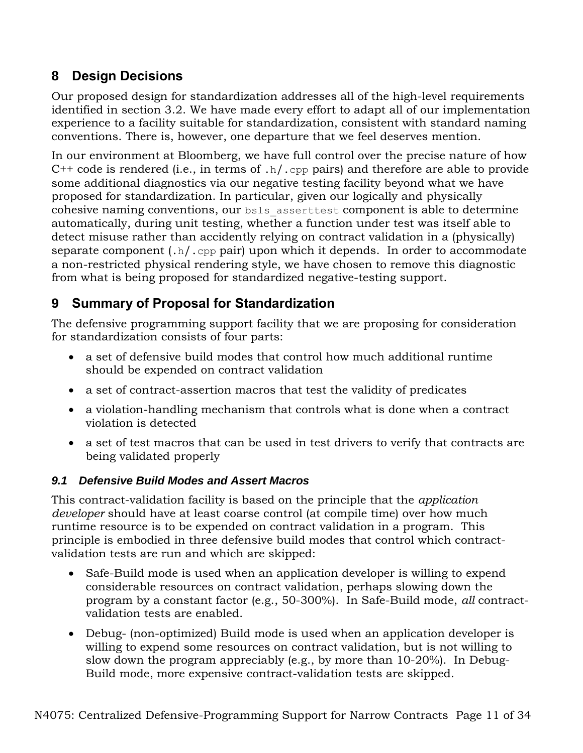# **8 Design Decisions**

Our proposed design for standardization addresses all of the high-level requirements identified in section 3.2. We have made every effort to adapt all of our implementation experience to a facility suitable for standardization, consistent with standard naming conventions. There is, however, one departure that we feel deserves mention.

In our environment at Bloomberg, we have full control over the precise nature of how  $C++$  code is rendered (i.e., in terms of .h/.cpp pairs) and therefore are able to provide some additional diagnostics via our negative testing facility beyond what we have proposed for standardization. In particular, given our logically and physically cohesive naming conventions, our bsls\_asserttest component is able to determine automatically, during unit testing, whether a function under test was itself able to detect misuse rather than accidently relying on contract validation in a (physically) separate component  $(.h/.cpp$  pair) upon which it depends. In order to accommodate a non-restricted physical rendering style, we have chosen to remove this diagnostic from what is being proposed for standardized negative-testing support.

# **9 Summary of Proposal for Standardization**

The defensive programming support facility that we are proposing for consideration for standardization consists of four parts:

- a set of defensive build modes that control how much additional runtime should be expended on contract validation
- a set of contract-assertion macros that test the validity of predicates
- a violation-handling mechanism that controls what is done when a contract violation is detected
- a set of test macros that can be used in test drivers to verify that contracts are being validated properly

## *9.1 Defensive Build Modes and Assert Macros*

This contract-validation facility is based on the principle that the *application developer* should have at least coarse control (at compile time) over how much runtime resource is to be expended on contract validation in a program. This principle is embodied in three defensive build modes that control which contractvalidation tests are run and which are skipped:

- Safe-Build mode is used when an application developer is willing to expend considerable resources on contract validation, perhaps slowing down the program by a constant factor (e.g., 50-300%). In Safe-Build mode, *all* contractvalidation tests are enabled.
- Debug- (non-optimized) Build mode is used when an application developer is willing to expend some resources on contract validation, but is not willing to slow down the program appreciably (e.g., by more than 10-20%). In Debug-Build mode, more expensive contract-validation tests are skipped.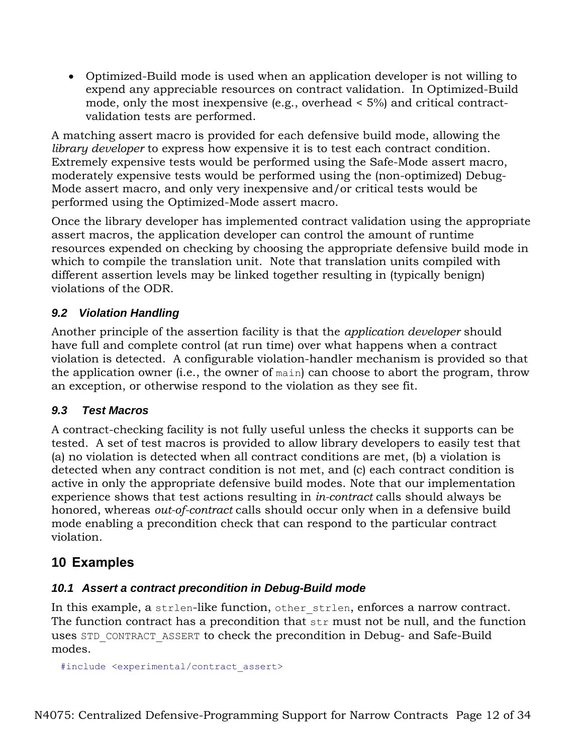Optimized-Build mode is used when an application developer is not willing to expend any appreciable resources on contract validation. In Optimized-Build mode, only the most inexpensive (e.g., overhead < 5%) and critical contractvalidation tests are performed.

A matching assert macro is provided for each defensive build mode, allowing the *library developer* to express how expensive it is to test each contract condition. Extremely expensive tests would be performed using the Safe-Mode assert macro, moderately expensive tests would be performed using the (non-optimized) Debug-Mode assert macro, and only very inexpensive and/or critical tests would be performed using the Optimized-Mode assert macro.

Once the library developer has implemented contract validation using the appropriate assert macros, the application developer can control the amount of runtime resources expended on checking by choosing the appropriate defensive build mode in which to compile the translation unit. Note that translation units compiled with different assertion levels may be linked together resulting in (typically benign) violations of the ODR.

## *9.2 Violation Handling*

Another principle of the assertion facility is that the *application developer* should have full and complete control (at run time) over what happens when a contract violation is detected. A configurable violation-handler mechanism is provided so that the application owner (i.e., the owner of main) can choose to abort the program, throw an exception, or otherwise respond to the violation as they see fit.

## *9.3 Test Macros*

A contract-checking facility is not fully useful unless the checks it supports can be tested. A set of test macros is provided to allow library developers to easily test that (a) no violation is detected when all contract conditions are met, (b) a violation is detected when any contract condition is not met, and (c) each contract condition is active in only the appropriate defensive build modes. Note that our implementation experience shows that test actions resulting in *in-contract* calls should always be honored, whereas *out-of-contract* calls should occur only when in a defensive build mode enabling a precondition check that can respond to the particular contract violation.

## **10 Examples**

## *10.1 Assert a contract precondition in Debug-Build mode*

In this example, a strlen-like function, other strlen, enforces a narrow contract. The function contract has a precondition that str must not be null, and the function uses STD\_CONTRACT\_ASSERT to check the precondition in Debug- and Safe-Build modes.

```
#include <experimental/contract_assert>
```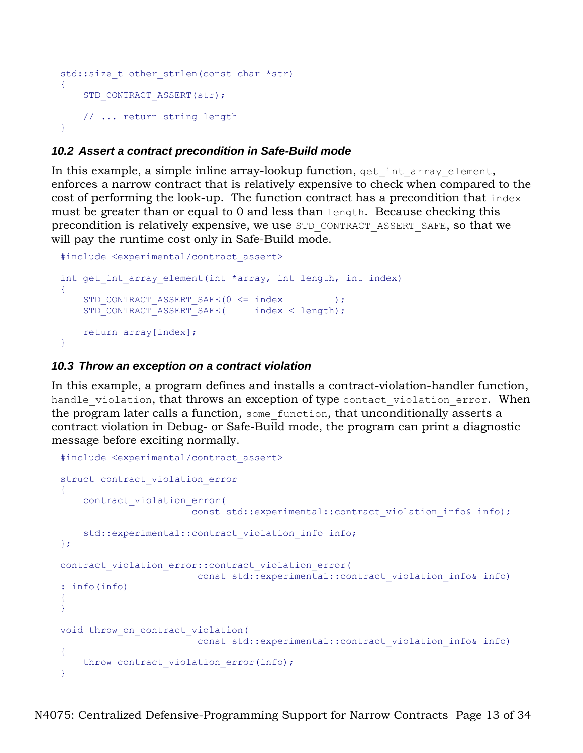```
std::size t other strlen(const char *str)
{
    STD_CONTRACT_ASSERT(str);
    // ... return string length
}
```
## *10.2 Assert a contract precondition in Safe-Build mode*

In this example, a simple inline array-lookup function, get int array element, enforces a narrow contract that is relatively expensive to check when compared to the cost of performing the look-up. The function contract has a precondition that index must be greater than or equal to 0 and less than length. Because checking this precondition is relatively expensive, we use STD\_CONTRACT\_ASSERT\_SAFE, so that we will pay the runtime cost only in Safe-Build mode.

```
#include <experimental/contract_assert>
int get int array element(int *array, int length, int index)
{
   STD_CONTRACT_ASSERT_SAFE(0 <= index );
   STD_CONTRACT_ASSERT_SAFE( index < length);
    return array[index];
}
```
### *10.3 Throw an exception on a contract violation*

In this example, a program defines and installs a contract-violation-handler function, handle violation, that throws an exception of type contact violation error. When the program later calls a function, some function, that unconditionally asserts a contract violation in Debug- or Safe-Build mode, the program can print a diagnostic message before exciting normally.

```
#include <experimental/contract_assert>
struct contract_violation_error
{
     contract_violation_error(
                       const std::experimental::contract violation info& info);
   std::experimental::contract violation info info;
};
contract violation error::contract violation error(
                       const std::experimental::contract violation info& info)
: info(info)
{
}
void throw_on_contract_violation(
                       const std::experimental::contract violation info& info)
{
   throw contract violation error(info);
}
```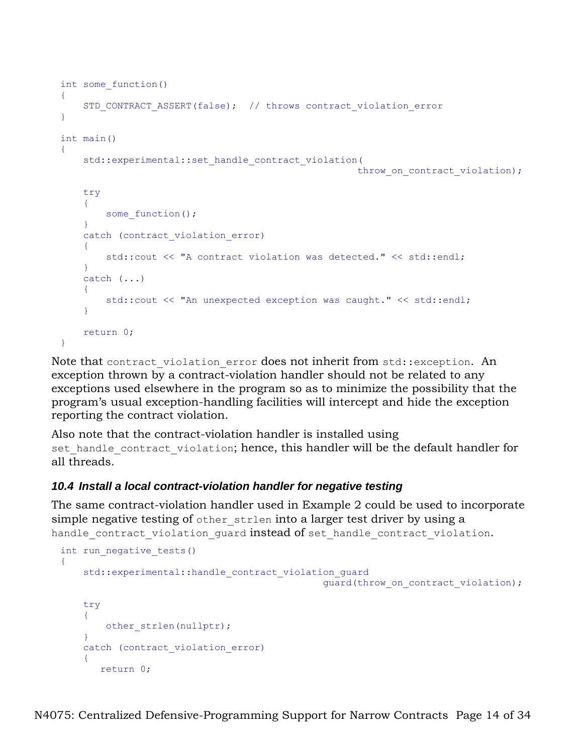```
int some_function()
{
    STD_CONTRACT_ASSERT(false); // throws contract violation error
}
int main()
{
    std::experimental::set handle contract violation(
                                                      throw on contract violation);
     try
     {
       some function();
     }
    catch (contract violation error)
     {
         std::cout << "A contract violation was detected." << std::endl;
     }
     catch (...)
     {
         std::cout << "An unexpected exception was caught." << std::endl;
 }
    return 0;
}
```
Note that contract violation error does not inherit from std:: exception. An exception thrown by a contract-violation handler should not be related to any exceptions used elsewhere in the program so as to minimize the possibility that the program's usual exception-handling facilities will intercept and hide the exception reporting the contract violation.

Also note that the contract-violation handler is installed using set handle contract violation; hence, this handler will be the default handler for all threads.

## *10.4 Install a local contract-violation handler for negative testing*

The same contract-violation handler used in Example 2 could be used to incorporate simple negative testing of other strlen into a larger test driver by using a handle contract violation guard instead of set handle contract violation.

```
int run negative tests()
{
    std::experimental::handle contract violation guard
                                                   guard(throw on contract violation);
     try
     {
        other strlen(nullptr);
 }
    catch (contract violation error)
\overline{\phantom{a}} return 0;
```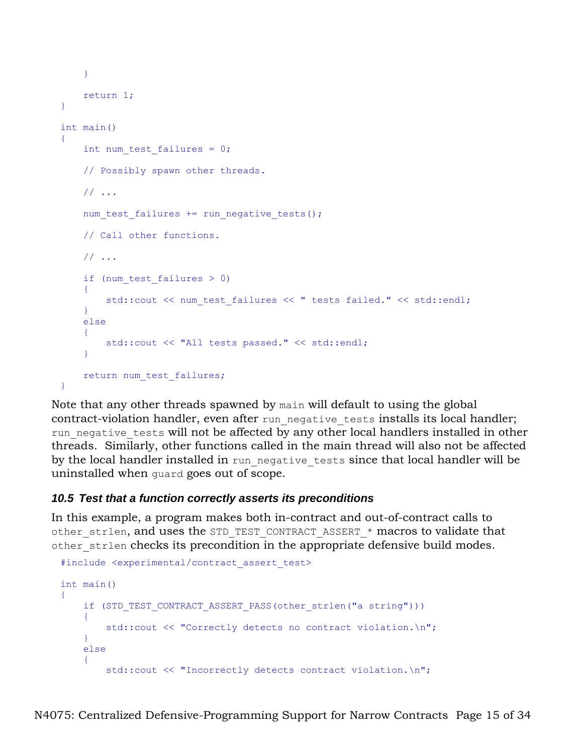```
 }
     return 1;
}
int main()
{
    int num test failures = 0;
     // Possibly spawn other threads.
     // ...
    num test failures += run negative tests();
     // Call other functions.
     // ...
    if (num test failures > 0)
\overline{\phantom{a}}std::cout << num test failures << " tests failed." << std::endl;
     }
     else
    \left\{ \right. std::cout << "All tests passed." << std::endl;
 }
    return num test failures;
}
```
Note that any other threads spawned by main will default to using the global contract-violation handler, even after run negative tests installs its local handler; run negative tests will not be affected by any other local handlers installed in other threads. Similarly, other functions called in the main thread will also not be affected by the local handler installed in run negative tests since that local handler will be uninstalled when guard goes out of scope.

## *10.5 Test that a function correctly asserts its preconditions*

In this example, a program makes both in-contract and out-of-contract calls to other strlen, and uses the STD TEST CONTRACT ASSERT \* macros to validate that other strlen checks its precondition in the appropriate defensive build modes.

```
#include <experimental/contract_assert_test>
int main()
{
    if (STD_TEST_CONTRACT_ASSERT_PASS(other_strlen("a string")))
    \left\{ \right. std::cout << "Correctly detects no contract violation.\n";
     }
     else
     {
         std::cout << "Incorrectly detects contract violation.\n";
```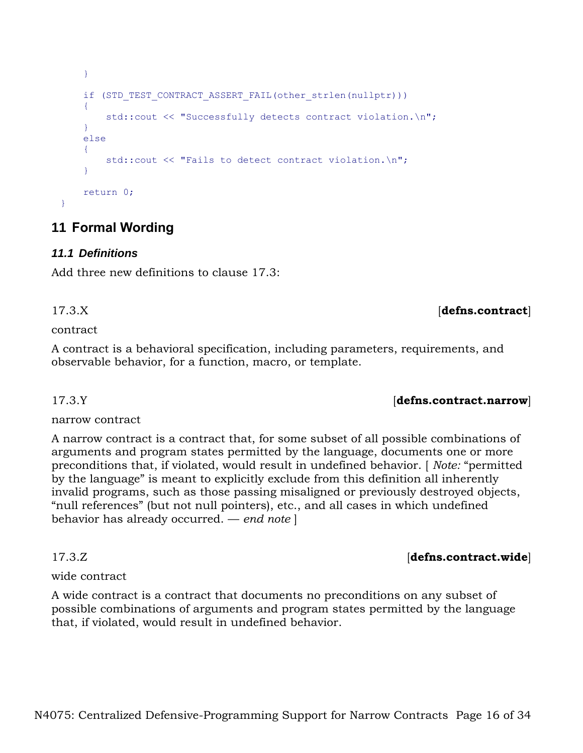```
 }
    if (STD_TEST_CONTRACT_ASSERT_FAIL(other_strlen(nullptr)))
\overline{\phantom{a}} std::cout << "Successfully detects contract violation.\n";
     }
     else
     {
         std::cout << "Fails to detect contract violation.\n";
 }
     return 0;
}
```
# **11 Formal Wording**

## *11.1 Definitions*

Add three new definitions to clause 17.3:

contract

A contract is a behavioral specification, including parameters, requirements, and observable behavior, for a function, macro, or template.

narrow contract

A narrow contract is a contract that, for some subset of all possible combinations of arguments and program states permitted by the language, documents one or more preconditions that, if violated, would result in undefined behavior. [ *Note:* "permitted by the language" is meant to explicitly exclude from this definition all inherently invalid programs, such as those passing misaligned or previously destroyed objects, "null references" (but not null pointers), etc., and all cases in which undefined behavior has already occurred. — *end note* ]

## wide contract

A wide contract is a contract that documents no preconditions on any subset of possible combinations of arguments and program states permitted by the language that, if violated, would result in undefined behavior.

## 17.3.Y *defins.contract.narrow*

## 17.3.Z [**defns.contract.wide**]

17.3.X [**defns.contract**]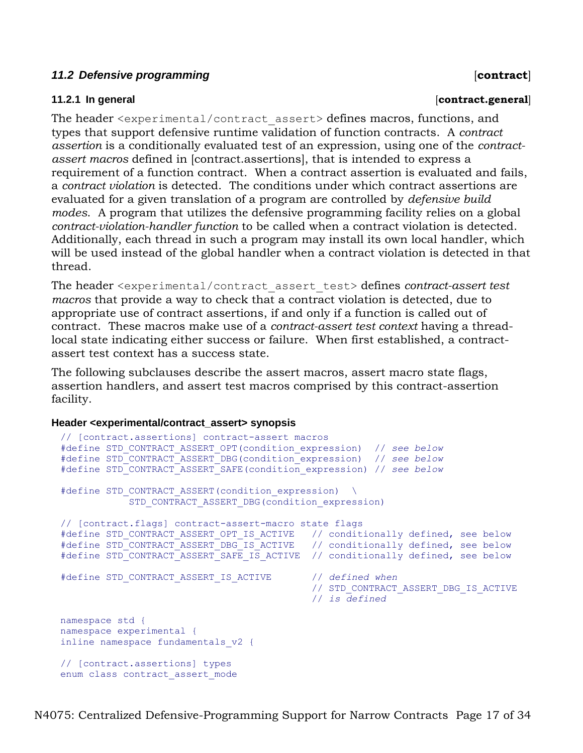### 11.2 Defensive programming *contract*

#### **11.2.1 In general** [**contract.general**]

The header <experimental/contract assert> defines macros, functions, and types that support defensive runtime validation of function contracts. A *contract assertion* is a conditionally evaluated test of an expression, using one of the *contractassert macros* defined in [contract.assertions], that is intended to express a requirement of a function contract. When a contract assertion is evaluated and fails, a *contract violation* is detected. The conditions under which contract assertions are evaluated for a given translation of a program are controlled by *defensive build modes*. A program that utilizes the defensive programming facility relies on a global *contract-violation-handler function* to be called when a contract violation is detected. Additionally, each thread in such a program may install its own local handler, which will be used instead of the global handler when a contract violation is detected in that thread.

The header <experimental/contract\_assert\_test> defines *contract-assert test macros* that provide a way to check that a contract violation is detected, due to appropriate use of contract assertions, if and only if a function is called out of contract. These macros make use of a *contract-assert test context* having a threadlocal state indicating either success or failure. When first established, a contractassert test context has a success state.

The following subclauses describe the assert macros, assert macro state flags, assertion handlers, and assert test macros comprised by this contract-assertion facility.

#### **Header <experimental/contract\_assert> synopsis**

```
// [contract.assertions] contract-assert macros
#define STD_CONTRACT_ASSERT_OPT(condition_expression) // see below
#define STD_CONTRACT_ASSERT_DBG(condition_expression) // see below
#define STD_CONTRACT_ASSERT_SAFE(condition_expression) // see below
#define STD CONTRACT ASSERT(condition expression) \
           STD_CONTRACT_ASSERT_DBG(condition_expression)
// [contract.flags] contract-assert-macro state flags
#define STD_CONTRACT_ASSERT_OPT_IS_ACTIVE // conditionally defined, see below
#define STD_CONTRACT_ASSERT_DBG_IS_ACTIVE // conditionally defined, see below
#define STD_CONTRACT_ASSERT_SAFE_IS_ACTIVE // conditionally defined, see below
#define STD_CONTRACT_ASSERT_IS_ACTIVE // defined when
                                            // STD_CONTRACT_ASSERT_DBG_IS_ACTIVE
                                            // is defined
namespace std {
namespace experimental {
inline namespace fundamentals_v2 {
// [contract.assertions] types
enum class contract_assert_mode
```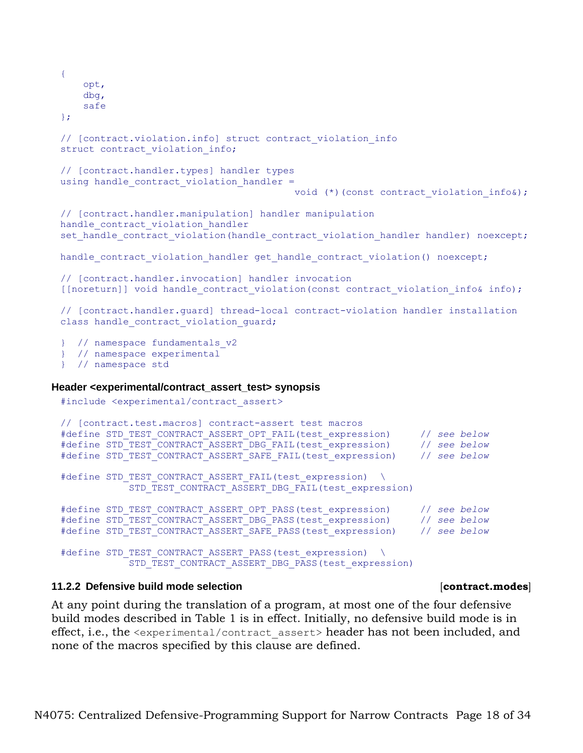```
{
      opt,
      dbg,
     safe
 };
 // [contract.violation.info] struct contract_violation_info
 struct contract violation info;
 // [contract.handler.types] handler types
 using handle contract violation handler =
                                          void (*)(const contract violation info&);
 // [contract.handler.manipulation] handler manipulation
 handle contract violation handler
 set handle contract violation(handle contract violation handler handler) noexcept;
 handle contract violation handler get handle contract violation() noexcept;
 // [contract.handler.invocation] handler invocation
 [[noreturn]] void handle contract violation(const contract violation info& info);
 // [contract.handler.guard] thread-local contract-violation handler installation
 class handle contract violation guard;
 } // namespace fundamentals_v2
 } // namespace experimental
 } // namespace std
Header <experimental/contract_assert_test> synopsis
 #include <experimental/contract_assert>
 // [contract.test.macros] contract-assert test macros
```

```
#define STD_TEST_CONTRACT_ASSERT_OPT_FAIL(test_expression) // see below
#define STD_TEST_CONTRACT_ASSERT_DBG_FAIL(test_expression) // see below
#define STD_TEST_CONTRACT_ASSERT_SAFE_FAIL(test_expression) // see below
#define STD TEST CONTRACT ASSERT FAIL(test expression) \
           STD_TEST_CONTRACT_ASSERT_DBG_FAIL(test_expression)
#define STD_TEST_CONTRACT_ASSERT_OPT_PASS(test_expression) // see below
#define STD_TEST_CONTRACT_ASSERT_DBG_PASS(test_expression) // see below
#define STD_TEST_CONTRACT_ASSERT_SAFE_PASS(test_expression) // see below
```

```
#define STD_TEST_CONTRACT_ASSERT_PASS(test_expression) \
            STD_TEST_CONTRACT_ASSERT_DBG_PASS(test_expression)
```
### **11.2.2 Defensive build mode selection** [**contract.modes**]

At any point during the translation of a program, at most one of the four defensive build modes described in [Table 1](#page-18-0) is in effect. Initially, no defensive build mode is in effect, i.e., the <experimental/contract\_assert> header has not been included, and none of the macros specified by this clause are defined.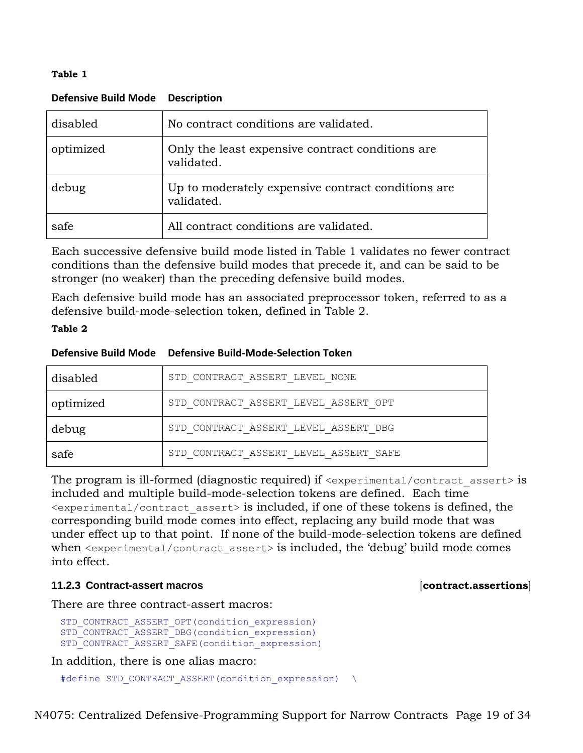#### <span id="page-18-0"></span>**Table 1**

| disabled  | No contract conditions are validated.                             |
|-----------|-------------------------------------------------------------------|
| optimized | Only the least expensive contract conditions are.<br>validated.   |
| debug     | Up to moderately expensive contract conditions are.<br>validated. |
| safe      | All contract conditions are validated.                            |

### **Defensive Build Mode Description**

Each successive defensive build mode listed in [Table 1](#page-18-0) validates no fewer contract conditions than the defensive build modes that precede it, and can be said to be stronger (no weaker) than the preceding defensive build modes.

Each defensive build mode has an associated preprocessor token, referred to as a defensive build-mode-selection token, defined in [Table 2.](#page-18-1)

### <span id="page-18-1"></span>**Table 2**

|  | Defensive Build Mode Defensive Build-Mode-Selection Token |
|--|-----------------------------------------------------------|
|--|-----------------------------------------------------------|

| disabled  | STD CONTRACT ASSERT LEVEL NONE        |
|-----------|---------------------------------------|
| optimized | STD CONTRACT ASSERT LEVEL ASSERT OPT  |
| debug     | STD CONTRACT ASSERT LEVEL ASSERT DBG  |
| safe      | STD CONTRACT ASSERT LEVEL ASSERT SAFE |

The program is ill-formed (diagnostic required) if  $\leq$ experimental/contract assert> is included and multiple build-mode-selection tokens are defined. Each time <experimental/contract\_assert> is included, if one of these tokens is defined, the corresponding build mode comes into effect, replacing any build mode that was under effect up to that point. If none of the build-mode-selection tokens are defined when  $\leq$  experimental/contract assert> is included, the 'debug' build mode comes into effect.

### **11.2.3 Contract-assert macros** [**contract.assertions**]

There are three contract-assert macros:

```
STD_CONTRACT_ASSERT_OPT(condition_expression)
STD_CONTRACT_ASSERT_DBG(condition_expression)
STD_CONTRACT_ASSERT_SAFE(condition expression)
```
In addition, there is one alias macro:

```
#define STD CONTRACT ASSERT(condition expression) \
```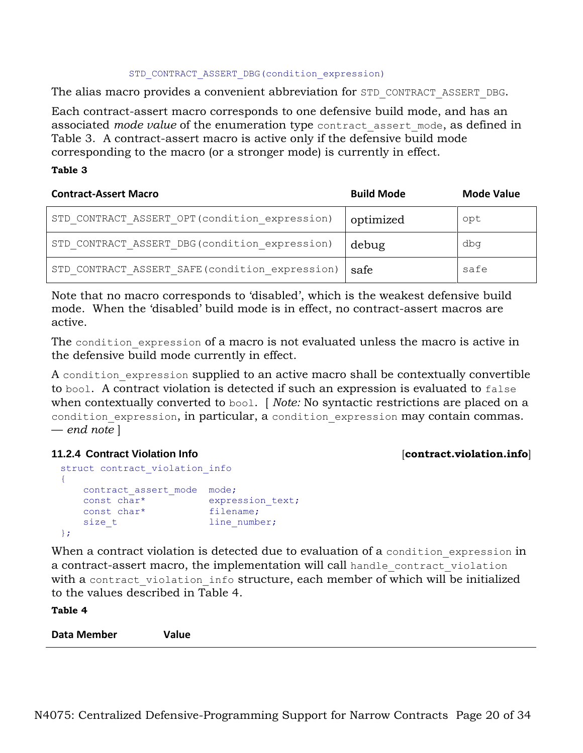#### STD\_CONTRACT\_ASSERT\_DBG(condition\_expression)

The alias macro provides a convenient abbreviation for STD\_CONTRACT\_ASSERT\_DBG.

Each contract-assert macro corresponds to one defensive build mode, and has an associated *mode value* of the enumeration type contract assert mode, as defined in [Table 3.](#page-19-0) A contract-assert macro is active only if the defensive build mode corresponding to the macro (or a stronger mode) is currently in effect.

#### <span id="page-19-0"></span>**Table 3**

| <b>Contract-Assert Macro</b>                    | <b>Build Mode</b> | <b>Mode Value</b> |
|-------------------------------------------------|-------------------|-------------------|
| STD CONTRACT ASSERT OPT (condition expression)  | optimized         | opt               |
| STD CONTRACT ASSERT DBG (condition expression)  | debug             | dbq               |
| STD CONTRACT ASSERT SAFE (condition expression) | safe              | safe              |

Note that no macro corresponds to 'disabled', which is the weakest defensive build mode. When the 'disabled' build mode is in effect, no contract-assert macros are active.

The condition expression of a macro is not evaluated unless the macro is active in the defensive build mode currently in effect.

A condition expression supplied to an active macro shall be contextually convertible to bool. A contract violation is detected if such an expression is evaluated to false when contextually converted to bool. [ *Note:* No syntactic restrictions are placed on a condition expression, in particular, a condition expression may contain commas. — *end note* ]

### **11.2.4 Contract Violation Info** [**contract.violation.info**]

```
struct contract violation info
{
   contract assert mode mode;
   const char* expression_text;<br>const char* filename;
   const char*
   size t line number;
};
```
When a contract violation is detected due to evaluation of a condition expression in a contract-assert macro, the implementation will call handle contract violation with a contract violation info structure, each member of which will be initialized to the values described in [Table 4.](#page-19-1)

<span id="page-19-1"></span>**Table 4 Data Member Value**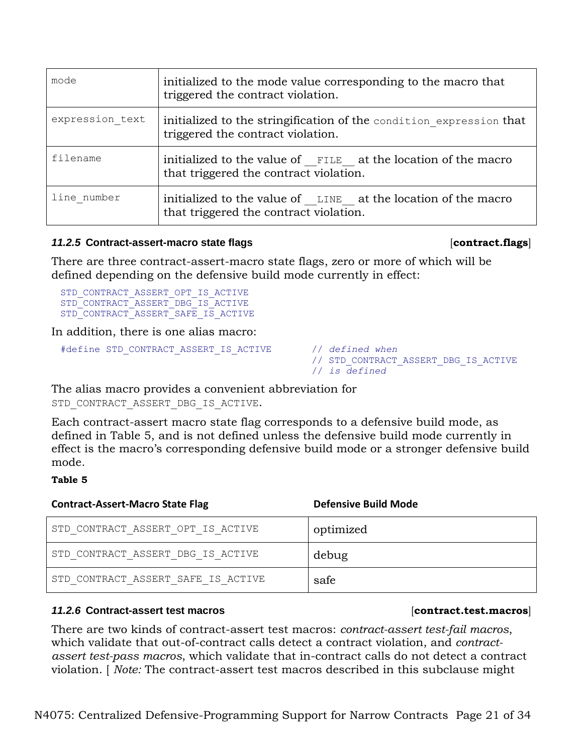| mode            | initialized to the mode value corresponding to the macro that<br>triggered the contract violation.       |  |
|-----------------|----------------------------------------------------------------------------------------------------------|--|
| expression text | initialized to the stringification of the condition expression that<br>triggered the contract violation. |  |
| filename        | initialized to the value of FILE at the location of the macro<br>that triggered the contract violation.  |  |
| line number     | initialized to the value of LINE at the location of the macro<br>that triggered the contract violation.  |  |

### *11.2.5* **Contract-assert-macro state flags** [**contract.flags**]

There are three contract-assert-macro state flags, zero or more of which will be defined depending on the defensive build mode currently in effect:

STD\_CONTRACT\_ASSERT\_OPT\_IS\_ACTIVE STD\_CONTRACT\_ASSERT\_DBG\_IS\_ACTIVE STD\_CONTRACT\_ASSERT\_SAFE\_IS\_ACTIVE

In addition, there is one alias macro:

```
#define STD_CONTRACT_ASSERT_IS_ACTIVE // defined when
```

```
 // STD_CONTRACT_ASSERT_DBG_IS_ACTIVE
 // is defined
```
The alias macro provides a convenient abbreviation for

```
STD_CONTRACT_ASSERT_DBG_IS_ACTIVE.
```
Each contract-assert macro state flag corresponds to a defensive build mode, as defined in [Table 5,](#page-20-1) and is not defined unless the defensive build mode currently in effect is the macro's corresponding defensive build mode or a stronger defensive build mode.

### <span id="page-20-1"></span>**Table 5**

| <b>Contract-Assert-Macro State Flag</b> | <b>Defensive Build Mode</b> |
|-----------------------------------------|-----------------------------|
| STD CONTRACT ASSERT OPT IS ACTIVE       | optimized                   |
| STD CONTRACT ASSERT DBG IS ACTIVE       | debug                       |
| STD CONTRACT ASSERT SAFE IS ACTIVE      | safe                        |

### <span id="page-20-0"></span>*11.2.6* **Contract-assert test macros** [**contract.test.macros**]

There are two kinds of contract-assert test macros: *contract-assert test-fail macros*, which validate that out-of-contract calls detect a contract violation, and *contractassert test-pass macros*, which validate that in-contract calls do not detect a contract violation. [ *Note:* The contract-assert test macros described in this subclause might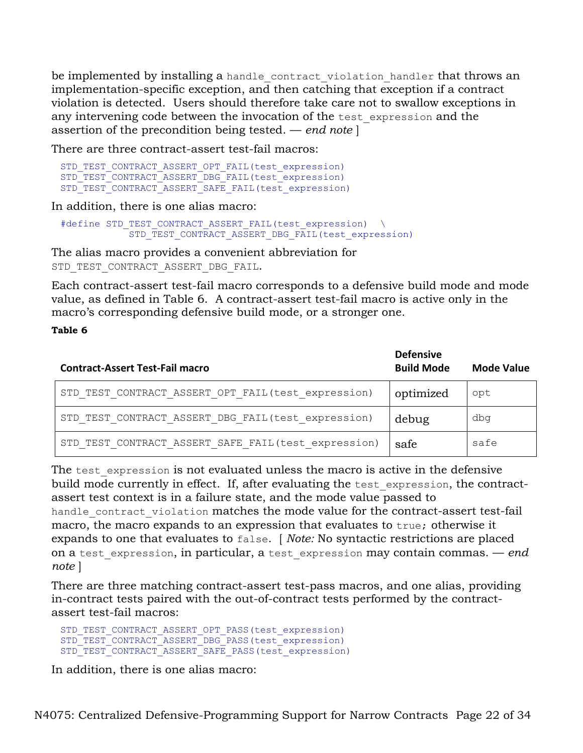be implemented by installing a handle contract violation handler that throws an implementation-specific exception, and then catching that exception if a contract violation is detected. Users should therefore take care not to swallow exceptions in any intervening code between the invocation of the test expression and the assertion of the precondition being tested. — *end note* ]

There are three contract-assert test-fail macros:

```
STD_TEST_CONTRACT_ASSERT_OPT_FAIL(test_expression)
STD_TEST_CONTRACT_ASSERT_DBG_FAIL(test_expression)
STD_TEST_CONTRACT_ASSERT_SAFE_FAIL(test_expression)
```
In addition, there is one alias macro:

```
#define STD_TEST_CONTRACT_ASSERT_FAIL(test_expression) \
           STD_TEST_CONTRACT_ASSERT_DBG_FAIL(test_expression)
```
The alias macro provides a convenient abbreviation for STD\_TEST\_CONTRACT\_ASSERT\_DBG\_FAIL.

Each contract-assert test-fail macro corresponds to a defensive build mode and mode value, as defined in [Table 6.](#page-21-0) A contract-assert test-fail macro is active only in the macro's corresponding defensive build mode, or a stronger one.

#### <span id="page-21-0"></span>**Table 6**

| <b>Contract-Assert Test-Fail macro</b>              | <b>Defensive</b><br><b>Build Mode</b> | <b>Mode Value</b> |
|-----------------------------------------------------|---------------------------------------|-------------------|
| STD TEST CONTRACT ASSERT OPT FAIL(test expression)  | optimized                             | opt               |
| STD TEST CONTRACT ASSERT DBG FAIL(test expression)  | debug                                 | dbq               |
| STD TEST CONTRACT ASSERT SAFE FAIL(test expression) | safe                                  | safe              |

The test expression is not evaluated unless the macro is active in the defensive build mode currently in effect. If, after evaluating the test expression, the contractassert test context is in a failure state, and the mode value passed to

handle contract violation matches the mode value for the contract-assert test-fail macro, the macro expands to an expression that evaluates to true; otherwise it expands to one that evaluates to false. [ *Note:* No syntactic restrictions are placed on a test\_expression, in particular, a test\_expression may contain commas. — *end note* ]

There are three matching contract-assert test-pass macros, and one alias, providing in-contract tests paired with the out-of-contract tests performed by the contractassert test-fail macros:

```
STD_TEST_CONTRACT_ASSERT_OPT_PASS(test_expression)
STD_TEST_CONTRACT_ASSERT_DBG_PASS(test_expression)
STD_TEST_CONTRACT_ASSERT_SAFE_PASS(test_expression)
```
In addition, there is one alias macro: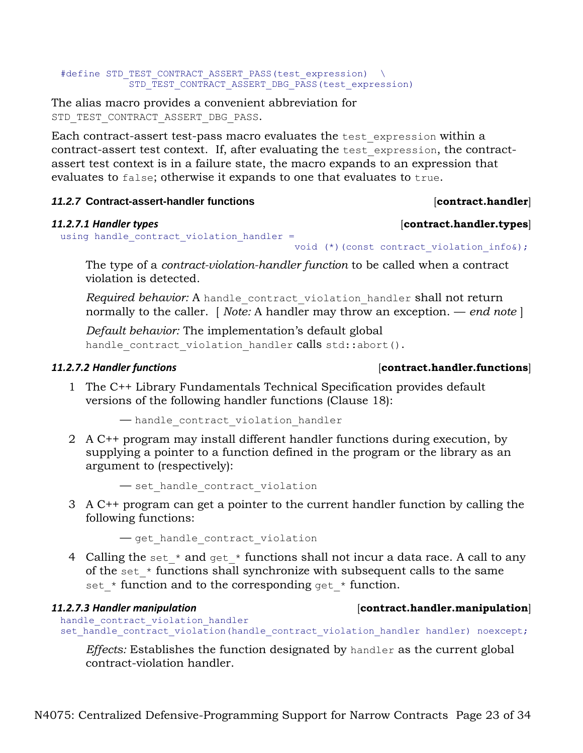#### #define STD\_TEST\_CONTRACT\_ASSERT\_PASS(test\_expression) \ STD\_TEST\_CONTRACT\_ASSERT\_DBG\_PASS(test\_expression)

The alias macro provides a convenient abbreviation for STD\_TEST\_CONTRACT\_ASSERT\_DBG\_PASS.

Each contract-assert test-pass macro evaluates the test\_expression within a contract-assert test context. If, after evaluating the test\_expression, the contractassert test context is in a failure state, the macro expands to an expression that evaluates to false; otherwise it expands to one that evaluates to true.

## *11.2.7* **Contract-assert-handler functions** [**contract.handler**]

#### *11.2.7.1 Handler types* [**contract.handler.types**] using handle contract violation handler =

## void (\*)(const contract violation info&);

The type of a *contract-violation-handler function* to be called when a contract violation is detected.

*Required behavior:* A handle\_contract\_violation\_handler shall not return normally to the caller. [ *Note:* A handler may throw an exception. — *end note* ]

*Default behavior:* The implementation's default global handle contract violation handler calls std::abort().

## *11.2.7.2 Handler functions* [**contract.handler.functions**]

1 The C++ Library Fundamentals Technical Specification provides default versions of the following handler functions (Clause 18):

— handle\_contract\_violation\_handler

2 A C++ program may install different handler functions during execution, by supplying a pointer to a function defined in the program or the library as an argument to (respectively):

— set\_handle\_contract\_violation

3 A C++ program can get a pointer to the current handler function by calling the following functions:

— get\_handle\_contract\_violation

4 Calling the set  $*$  and get  $*$  functions shall not incur a data race. A call to any of the set  $*$  functions shall synchronize with subsequent calls to the same set  $*$  function and to the corresponding get  $*$  function.

# handle contract violation handler

## *11.2.7.3 Handler manipulation* [**contract.handler.manipulation**]

set handle contract violation(handle contract violation handler handler) noexcept;

*Effects:* Establishes the function designated by handler as the current global contract-violation handler.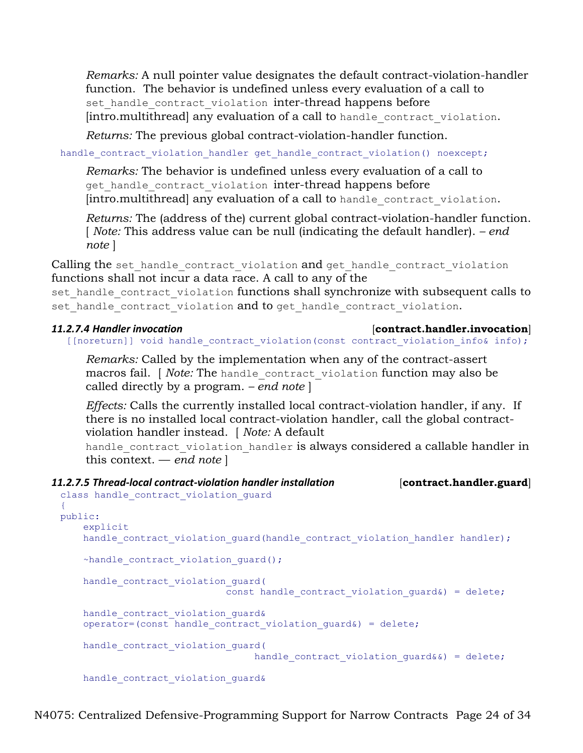*Remarks:* A null pointer value designates the default contract-violation-handler function. The behavior is undefined unless every evaluation of a call to set handle contract violation inter-thread happens before [intro.multithread] any evaluation of a call to handle contract violation.

*Returns:* The previous global contract-violation-handler function.

handle contract violation handler get handle contract violation() noexcept;

*Remarks:* The behavior is undefined unless every evaluation of a call to get handle contract violation inter-thread happens before [intro.multithread] any evaluation of a call to handle contract violation.

*Returns:* The (address of the) current global contract-violation-handler function. [ *Note:* This address value can be null (indicating the default handler). *– end note* ]

Calling the set handle contract violation and get handle contract violation functions shall not incur a data race. A call to any of the set handle contract violation functions shall synchronize with subsequent calls to set handle contract violation and to get handle contract violation.

#### *11.2.7.4 Handler invocation* [**contract.handler.invocation**]

[[noreturn]] void handle contract violation(const contract violation info& info);

*Remarks:* Called by the implementation when any of the contract-assert macros fail. [ *Note:* The handle contract violation function may also be called directly by a program. *– end note* ]

*Effects:* Calls the currently installed local contract-violation handler, if any. If there is no installed local contract-violation handler, call the global contractviolation handler instead. [ *Note:* A default

handle contract violation handler is always considered a callable handler in this context. — *end note* ]

## *11.2.7.5 Thread-local contract-violation handler installation* [**contract.handler.guard**]

```
class handle contract violation guard
{
public:
     explicit
    handle contract violation quard(handle contract violation handler handler);
     ~handle_contract_violation_guard();
    handle contract violation quard(
                             const handle contract violation quard&) = delete;
    handle contract violation quard&
    operator = (const handle contract violation quard&) = delete;
    handle contract violation quard(
                                  handle contract violation quard&&) = delete;
     handle_contract_violation_guard&
```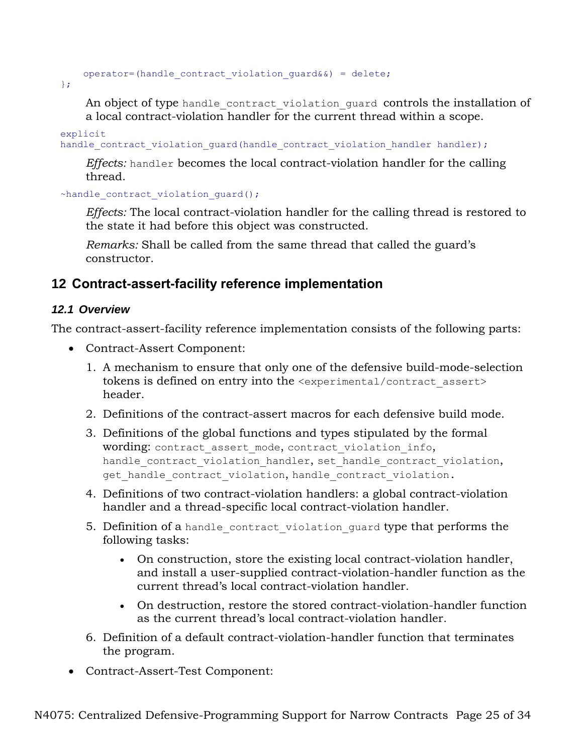operator=(handle contract violation quard&&) = delete;

};

An object of type handle contract violation guard controls the installation of a local contract-violation handler for the current thread within a scope.

explicit handle contract violation quard (handle contract violation handler handler);

*Effects:* handler becomes the local contract-violation handler for the calling thread.

~handle contract violation quard();

*Effects:* The local contract-violation handler for the calling thread is restored to the state it had before this object was constructed.

*Remarks:* Shall be called from the same thread that called the guard's constructor.

## **12 Contract-assert-facility reference implementation**

## *12.1 Overview*

The contract-assert-facility reference implementation consists of the following parts:

- Contract-Assert Component:
	- 1. A mechanism to ensure that only one of the defensive build-mode-selection tokens is defined on entry into the <experimental/contract\_assert> header.
	- 2. Definitions of the contract-assert macros for each defensive build mode.
	- 3. Definitions of the global functions and types stipulated by the formal wording: contract assert mode, contract violation info, handle contract violation handler, set handle contract violation, get handle contract violation, handle contract violation.
	- 4. Definitions of two contract-violation handlers: a global contract-violation handler and a thread-specific local contract-violation handler.
	- 5. Definition of a handle contract violation guard type that performs the following tasks:
		- On construction, store the existing local contract-violation handler, and install a user-supplied contract-violation-handler function as the current thread's local contract-violation handler.
		- On destruction, restore the stored contract-violation-handler function as the current thread's local contract-violation handler.
	- 6. Definition of a default contract-violation-handler function that terminates the program.
- Contract-Assert-Test Component: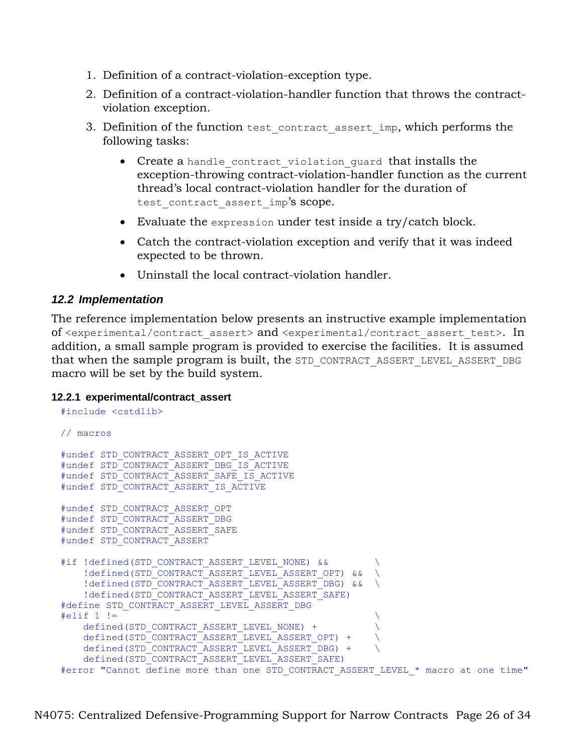- 1. Definition of a contract-violation-exception type.
- 2. Definition of a contract-violation-handler function that throws the contractviolation exception.
- 3. Definition of the function test contract assert imp, which performs the following tasks:
	- Create a handle contract violation guard that installs the exception-throwing contract-violation-handler function as the current thread's local contract-violation handler for the duration of test contract assert imp's scope.
	- Evaluate the expression under test inside a try/catch block.
	- Catch the contract-violation exception and verify that it was indeed expected to be thrown.
	- Uninstall the local contract-violation handler.

## *12.2 Implementation*

The reference implementation below presents an instructive example implementation of <experimental/contract assert> and <experimental/contract assert test>. In addition, a small sample program is provided to exercise the facilities. It is assumed that when the sample program is built, the STD\_CONTRACT\_ASSERT\_LEVEL\_ASSERT\_DBG macro will be set by the build system.

### **12.2.1 experimental/contract\_assert**

```
#include <cstdlib>
// macros
#undef STD_CONTRACT_ASSERT_OPT_IS_ACTIVE
#undef STD_CONTRACT_ASSERT_DBG_IS_ACTIVE
#undef STD_CONTRACT_ASSERT_SAFE_IS_ACTIVE
#undef STD_CONTRACT_ASSERT_IS_ACTIVE
#undef STD_CONTRACT_ASSERT_OPT
#undef STD_CONTRACT_ASSERT_DBG
#undef STD_CONTRACT_ASSERT_SAFE
#undef STD_CONTRACT_ASSERT
#if !defined(STD_CONTRACT_ASSERT_LEVEL_NONE) &&
   !defined(STD_CONTRACT_ASSERT_LEVEL_ASSERT_OPT) && \
   !defined(STD_CONTRACT_ASSERT_LEVEL_ASSERT_DBG) && \
    !defined(STD_CONTRACT_ASSERT_LEVEL_ASSERT_SAFE)
#define STD_CONTRACT_ASSERT_LEVEL_ASSERT_DBG
\#elif 1 != \qquad \qquaddefined(STD_CONTRACT_ASSERT_LEVEL_NONE) +
    defined(STD_CONTRACT_ASSERT_LEVEL_ASSERT_OPT) + \
   defined(STD_CONTRACT_ASSERT_LEVEL_ASSERT_DBG) +
    defined(STD_CONTRACT_ASSERT_LEVEL_ASSERT_SAFE)
#error "Cannot define more than one STD CONTRACT ASSERT LEVEL * macro at one time"
```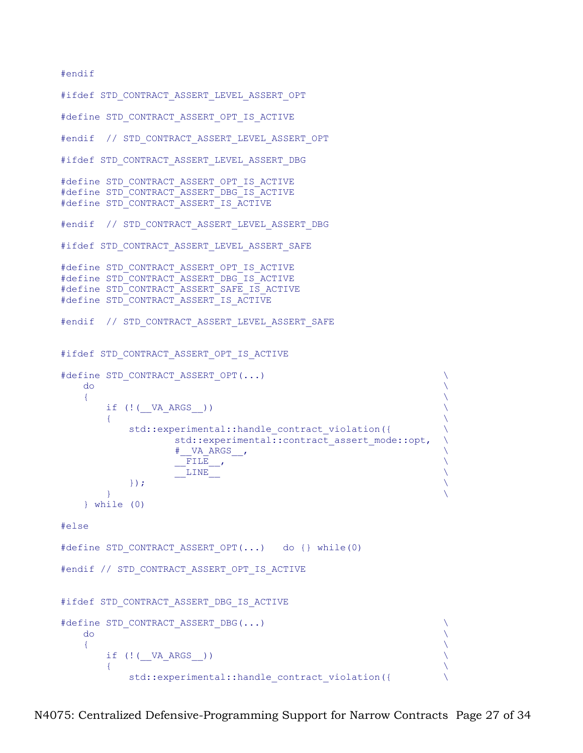#### #endif

```
#ifdef STD CONTRACT ASSERT LEVEL ASSERT OPT
#define STD_CONTRACT_ASSERT_OPT_IS_ACTIVE
#endif // STD CONTRACT ASSERT LEVEL ASSERT OPT
#ifdef STD CONTRACT ASSERT LEVEL ASSERT DBG
#define STD_CONTRACT_ASSERT_OPT_IS_ACTIVE
#define STD_CONTRACT_ASSERT_DBG_IS_ACTIVE
#define STD_CONTRACT_ASSERT_IS_ACTIVE
#endif // STD_CONTRACT_ASSERT_LEVEL_ASSERT_DBG
#ifdef STD CONTRACT ASSERT LEVEL ASSERT SAFE
#define STD_CONTRACT_ASSERT_OPT_IS_ACTIVE
#define STD_CONTRACT_ASSERT_DBG_IS_ACTIVE
#define STD_CONTRACT_ASSERT_SAFE_IS_ACTIVE
#define STD_CONTRACT_ASSERT_IS_ACTIVE
#endif // STD CONTRACT ASSERT LEVEL ASSERT SAFE
#ifdef STD CONTRACT ASSERT OPT IS ACTIVE
#define STD CONTRACT ASSERT OPT(...)
\sim do \sim do \sim do \sim do \sim do \sim\{ \}if (!(__VA_ARGS__))
\{ \{ \} \{ \} \{ \} \{ \} \{ \} \{ \} \{ \} \{ \} \{ \} \{ \} \{ \} \{ \} \{ \} \{ \} \{ \} \{ \} \{ \} \{ \} \{ \} \{ \} \{ \} \{ std::experimental::handle contract violation({
                    std::experimental::contract assert mode::opt, \
                     \texttt{W}\rightarrow \texttt{R}\rightarrow \texttt{R}_{\rm FILE} , \overline{\phantom{a}}\frac{L}{L} \frac{L}{L} \frac{L}{L}\}); \qquad \qquad\mathcal{A} and \mathcal{A} are the contract of the contract of the contract of the contract of the contract of the contract of the contract of the contract of the contract of the contract of the contract of the contract of the
     } while (0)
#else
#define STD CONTRACT ASSERT OPT(...) do {} while(0)
#endif // STD CONTRACT ASSERT OPT IS ACTIVE
#ifdef STD CONTRACT ASSERT DBG IS ACTIVE
#define STD CONTRACT ASSERT DBG(...)
\sim do \sim do \sim do \sim do \sim do \sim\{ \}if (!( VA ARGS ))
\{ \{ \} \{ \} \{ \} \{ \} \{ \} \{ \} \{ \} \{ \} \{ \} \{ \} \{ \} \{ \} \{ \} \{ \} \{ \} \{ \} \{ \} \{ \} \{ \} \{ \} \{ \} \{ std::experimental::handle contract violation({
```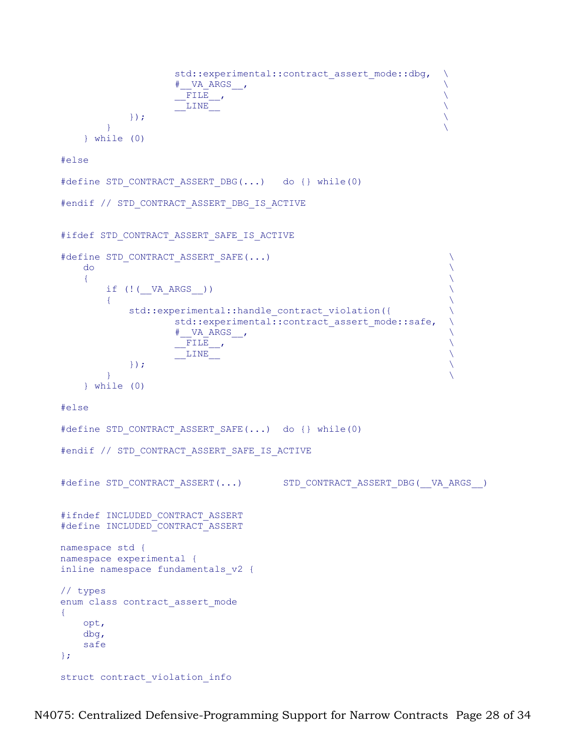```
std::experimental::contract assert mode::dbg, \
                         \qquad \qquad \qquad \qquad \qquad \qquad \qquad \qquad \qquad \qquad \qquad \qquad \qquad \qquad\_ FILE \_ , the contract of the contract of the contract of the contract of the contract of the contract of the contract of the contract of the contract of the contract of the contract of the contract of the contract o
                          _{\rm{LINE}} \qquad \qquad\}); \qquad \qquad\} \{ \} } while (0)
```
#else

```
#define STD CONTRACT ASSERT DBG(...) do {} while(0)
```

```
#endif // STD_CONTRACT_ASSERT_DBG_IS_ACTIVE
```

```
#ifdef STD CONTRACT ASSERT SAFE IS ACTIVE
```

```
#define STD CONTRACT ASSERT SAFE(...)
\sim do \sim do \sim do \sim do \sim do \sim\{ \}if (!(\_\text{VA\_ARGS\_}))\{ \}std::experimental::handle contract_violation({
              std::experimental::contract assert mode::safe,
              \# VA ARGS ,
              \_ FILE \_ , the contract of the contract of the contract of the contract of the contract of the contract of the contract of the contract of the contract of the contract of the contract of the contract of the contract o
               _{\rm{LINE}} \qquad \qquad\}); \qquad \qquad\} \{ \} } while (0)
#else
#define STD CONTRACT ASSERT SAFE(...) do {} while(0)
#endif // STD CONTRACT ASSERT SAFE IS ACTIVE
```

```
#define STD_CONTRACT_ASSERT(...) STD_CONTRACT_ASSERT_DBG(__VA_ARGS__)
#ifndef INCLUDED_CONTRACT_ASSERT
#define INCLUDED_CONTRACT_ASSERT
namespace std {
namespace experimental {
inline namespace fundamentals_v2 {
// types
enum class contract_assert_mode
{
    opt,
    dbg,
    safe
};
struct contract violation info
```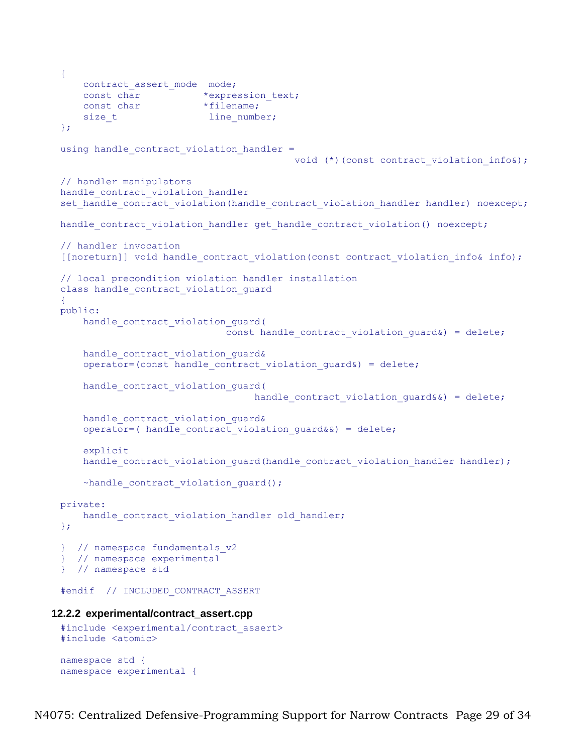```
{
    contract assert mode mode;
 const char *expression text;
 const char *filename;
    size t line number;
 };
 using handle contract violation handler =
                                         void (*)(const contract violation info&);
 // handler manipulators
 handle contract violation handler
 set handle contract violation(handle contract violation handler handler) noexcept;
 handle contract violation handler get handle contract violation() noexcept;
 // handler invocation
 [[noreturn]] void handle contract violation(const contract violation info& info);
 // local precondition violation handler installation
 class handle contract violation guard
 {
 public:
     handle contract violation guard(
                              const handle contract violation quard&) = delete;
     handle contract violation guard&
     operator=(const handle contract violation quard&) = delete;
      handle_contract_violation_guard(
                                   handle_contract_violation_guard&&) = delete;
     handle contract violation guard&
     operator=( handle contract violation quard&&) = delete;
      explicit
     handle contract violation quard(handle contract violation handler handler);
     ~handle contract violation quard();
 private:
     handle contract violation handler old handler;
 };
 } // namespace fundamentals_v2
 } // namespace experimental
 } // namespace std
 #endif // INCLUDED_CONTRACT_ASSERT
12.2.2 experimental/contract_assert.cpp
 #include <experimental/contract_assert>
 #include <atomic>
```

```
namespace std {
namespace experimental {
```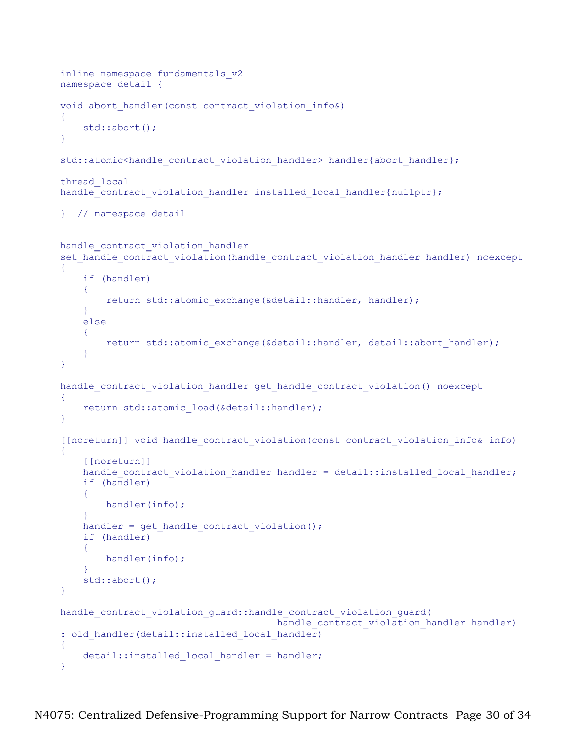```
inline namespace fundamentals_v2
namespace detail {
void abort handler(const contract violation info&)
{
     std::abort();
}
std::atomic<handle_contract_violation_handler> handler{abort_handler};
thread_local
handle<sup>c</sup>ontract violation handler installed local handler{nullptr};
} // namespace detail
handle contract violation handler
set handle contract violation(handle contract violation handler handler) noexcept
{
     if (handler)
     {
        return std::atomic exchange(&detail::handler, handler);
     }
     else
    \left\{ \right.return std::atomic exchange(&detail::handler, detail::abort handler);
     }
}
handle_contract_violation_handler get_handle_contract_violation() noexcept
{
     return std::atomic_load(&detail::handler);
}
[[noreturn]] void handle_contract_violation(const contract_violation_info& info)
{
     [[noreturn]]
    handle contract violation handler handler = detail::installed local handler;
     if (handler)
     {
         handler(info);
 }
    handler = get handle contract violation();
     if (handler)
     {
        handler(info);
     }
     std::abort();
}
handle_contract_violation_guard::handle_contract_violation_guard(
                                       handle contract violation handler handler)
: old handler(detail::installed local handler)
{
    detail::installed local handler = handler;
}
```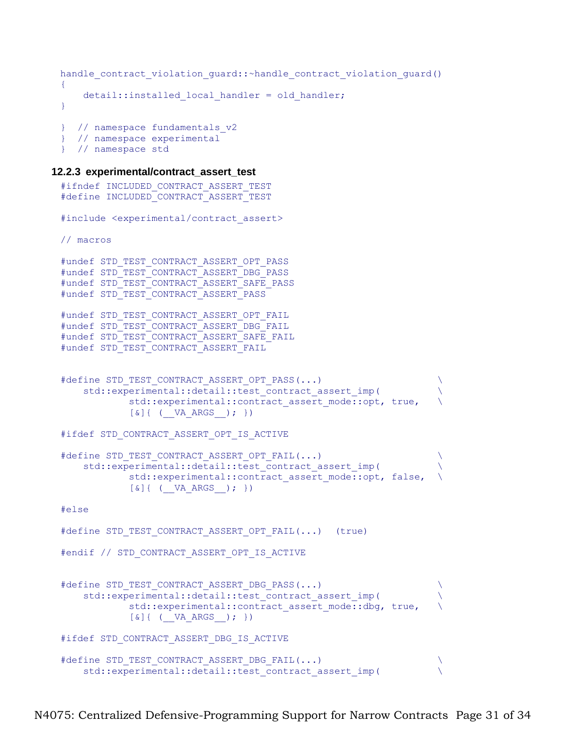```
handle contract violation guard::~handle contract violation guard()
{
   detail::installed local handler = old handler;
}
} // namespace fundamentals_v2
} // namespace experimental
```
#### **12.2.3 experimental/contract\_assert\_test**

} // namespace std

```
#ifndef INCLUDED CONTRACT ASSERT TEST
#define INCLUDED_CONTRACT_ASSERT_TEST
#include <experimental/contract_assert>
// macros
#undef STD_TEST_CONTRACT_ASSERT_OPT_PASS
#undef STD_TEST_CONTRACT_ASSERT_DBG_PASS
#undef STD_TEST_CONTRACT_ASSERT_SAFE_PASS
#undef STD_TEST_CONTRACT_ASSERT_PASS
#undef STD_TEST_CONTRACT_ASSERT_OPT_FAIL
#undef STD_TEST_CONTRACT_ASSERT_DBG_FAIL
#undef STD_TEST_CONTRACT_ASSERT_SAFE_FAIL
#undef STD_TEST_CONTRACT_ASSERT_FAIL
#define STD TEST CONTRACT ASSERT OPT PASS(...)
    std::experimental::detail::test contract assert imp(
            std::experimental::contract assert mode::opt, true,
            [\&] \{ (UX) \; ARGS \; ) \; ; \; \}#ifdef STD CONTRACT ASSERT OPT IS ACTIVE
#define STD_TEST_CONTRACT_ASSERT_OPT_FAIL(...) \
    std::experimental::detail::test contract assert imp(
            std::experimental::contract assert mode::opt, false,
            [\&] \{ ( \forall A \; ARGS \; ); })
#else
#define STD_TEST_CONTRACT_ASSERT_OPT_FAIL(...) (true)
#endif // STD_CONTRACT_ASSERT_OPT_IS_ACTIVE
#define STD_TEST_CONTRACT_ASSERT_DBG_PASS(...)
    std::experimental::detail::test contract assert imp(
            std::experimental::contract assert mode::dbg, true,
            [\&] { ( VA ARGS ) ; \}#ifdef STD CONTRACT ASSERT DBG IS ACTIVE
#define STD_TEST_CONTRACT_ASSERT_DBG_FAIL(...)
    std::experimental::detail::test contract assert imp(
```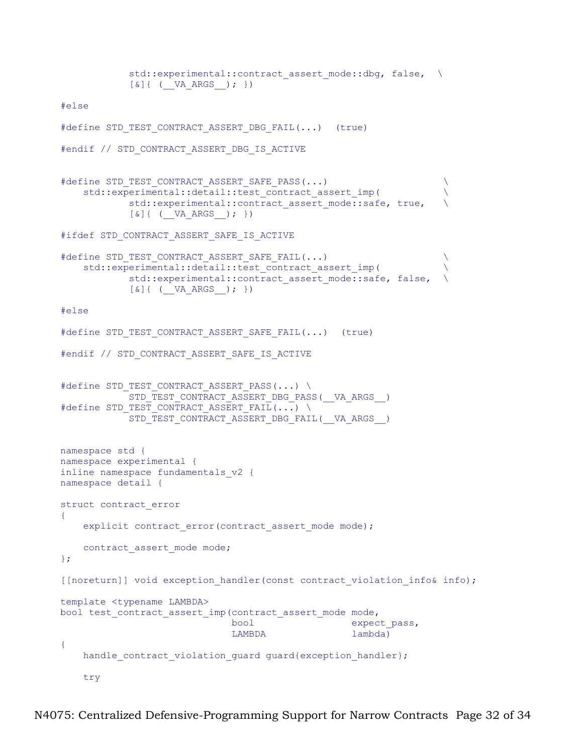```
std::experimental::contract assert mode::dbg, false, \
            [\&] \{ ( \forall A \; ARGS \; ); })
#else
#define STD_TEST_CONTRACT_ASSERT_DBG_FAIL(...) (true)
#endif // STD CONTRACT ASSERT DBG IS ACTIVE
#define STD_TEST_CONTRACT_ASSERT_SAFE_PASS(...)
    std::experimental::detail::test contract assert imp( \setminusstd::experimental::contract assert mode::safe, true,
            [\&] \{ (\_\_VA\_ARGS\_);\}#ifdef STD CONTRACT ASSERT SAFE IS ACTIVE
#define STD TEST CONTRACT ASSERT SAFE FAIL(...)
    std::experimental::detail::test contract assert imp(
            std::experimental::contract assert mode::safe, false,
            [\&] { ( VA ARGS ) ; \}#else
#define STD_TEST_CONTRACT_ASSERT_SAFE_FAIL(...) (true)
#endif // STD CONTRACT ASSERT SAFE IS ACTIVE
#define STD TEST CONTRACT ASSERT PASS(...) \
            STD_TEST_CONTRACT_ASSERT_DBG_PASS(__VA_ARGS__)
#define STD TEST CONTRACT ASSERT_FAIL(...) \
            STD_TEST_CONTRACT_ASSERT_DBG_FAIL(__VA_ARGS__)
namespace std {
namespace experimental {
inline namespace fundamentals_v2 {
namespace detail {
struct contract_error
\{explicit contract error(contract assert mode mode);
    contract assert mode mode;
};
[[noreturn]] void exception handler(const contract violation info& info);
template <typename LAMBDA>
bool test_contract_assert_imp(contract_assert_mode mode,
                              bool expect pass,
                              LAMBDA lambda)
{
    handle contract violation guard guard{exception handler};
     try
```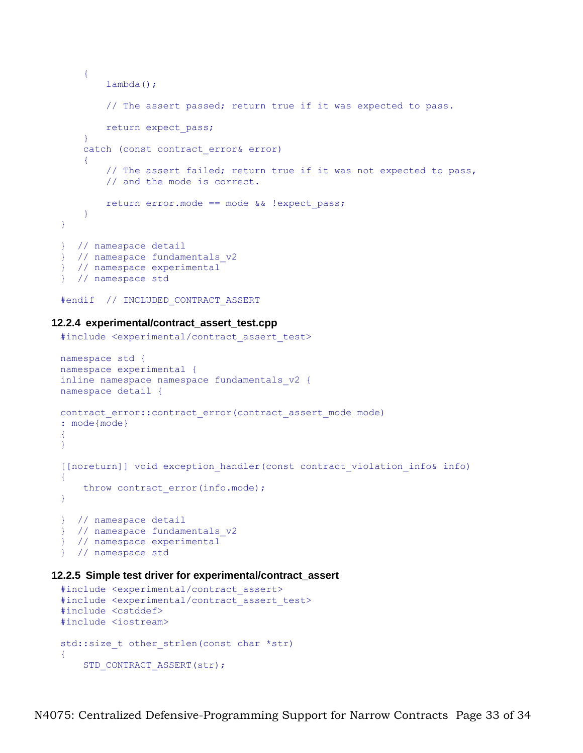```
 {
        lambda();
         // The assert passed; return true if it was expected to pass.
        return expect_pass;
     }
    catch (const contract error& error)
     {
         // The assert failed; return true if it was not expected to pass,
         // and the mode is correct.
        return error.mode == mode && !expect_pass;
    }
}
} // namespace detail
} // namespace fundamentals_v2
} // namespace experimental
} // namespace std
```

```
#endif // INCLUDED_CONTRACT_ASSERT
```
#### **12.2.4 experimental/contract\_assert\_test.cpp**

```
#include <experimental/contract_assert_test>
namespace std {
namespace experimental {
inline namespace namespace fundamentals_v2 {
namespace detail {
contract error::contract error(contract assert mode mode)
: mode{mode}
{
}
[[noreturn]] void exception_handler(const contract_violation_info& info)
{
   throw contract error(info.mode);
}
} // namespace detail
} // namespace fundamentals_v2
} // namespace experimental
} // namespace std
```
#### **12.2.5 Simple test driver for experimental/contract\_assert**

```
#include <experimental/contract_assert>
#include <experimental/contract_assert_test>
#include <cstddef>
#include <iostream>
std::size t other strlen(const char *str)
{
    STD_CONTRACT_ASSERT(str);
```